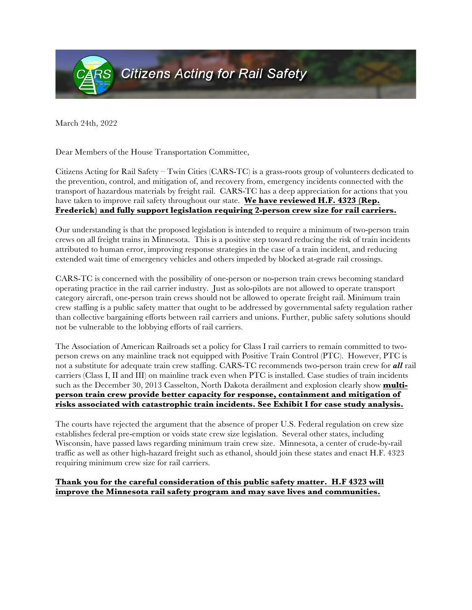

March 24th, 2022

Dear Members of the House Transportation Committee,

Citizens Acting for Rail Safety – Twin Cities (CARS-TC) is a grass-roots group of volunteers dedicated to the prevention, control, and mitigation of, and recovery from, emergency incidents connected with the transport of hazardous materials by freight rail. CARS-TC has a deep appreciation for actions that you have taken to improve rail safety throughout our state. **We have reviewed H.F. 4323 (Rep. Frederick) and fully support legislation requiring 2-person crew size for rail carriers.**

Our understanding is that the proposed legislation is intended to require a minimum of two-person train crews on all freight trains in Minnesota. This is a positive step toward reducing the risk of train incidents attributed to human error, improving response strategies in the case of a train incident, and reducing extended wait time of emergency vehicles and others impeded by blocked at-grade rail crossings.

CARS-TC is concerned with the possibility of one-person or no-person train crews becoming standard operating practice in the rail carrier industry. Just as solo-pilots are not allowed to operate transport category aircraft, one-person train crews should not be allowed to operate freight rail. Minimum train crew staffing is a public safety matter that ought to be addressed by governmental safety regulation rather than collective bargaining efforts between rail carriers and unions. Further, public safety solutions should not be vulnerable to the lobbying efforts of rail carriers.

The Association of American Railroads set a policy for Class I rail carriers to remain committed to twoperson crews on any mainline track not equipped with Positive Train Control (PTC). However, PTC is not a substitute for adequate train crew staffing. CARS-TC recommends two-person train crew for *all* rail carriers (Class I, II and III) on mainline track even when PTC is installed. Case studies of train incidents such as the December 30, 2013 Casselton, North Dakota derailment and explosion clearly show **multiperson train crew provide better capacity for response, containment and mitigation of risks associated with catastrophic train incidents. See Exhibit I for case study analysis.** 

The courts have rejected the argument that the absence of proper U.S. Federal regulation on crew size establishes federal pre-emption or voids state crew size legislation. Several other states, including Wisconsin, have passed laws regarding minimum train crew size. Minnesota, a center of crude-by-rail traffic as well as other high-hazard freight such as ethanol, should join these states and enact H.F. 4323 requiring minimum crew size for rail carriers.

## **Thank you for the careful consideration of this public safety matter. H.F 4323 will improve the Minnesota rail safety program and may save lives and communities.**